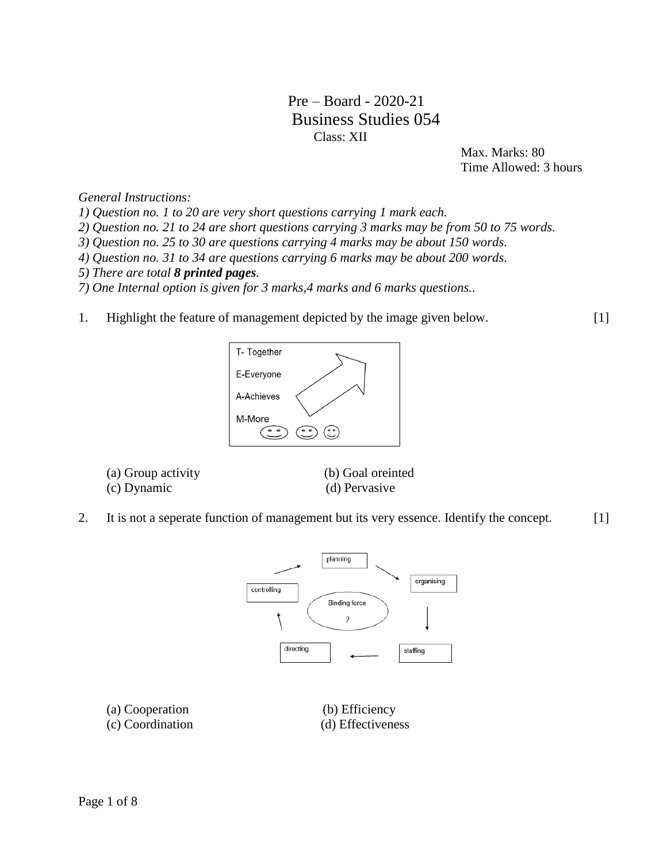# Pre – Board - 2020-21 Business Studies 054 Class: XII

 Max. Marks: 80 Time Allowed: 3 hours

*General Instructions:* 

*1) Question no. 1 to 20 are very short questions carrying 1 mark each.*

*2) Question no. 21 to 24 are short questions carrying 3 marks may be from 50 to 75 words.*

*3) Question no. 25 to 30 are questions carrying 4 marks may be about 150 words.* 

*4) Question no. 31 to 34 are questions carrying 6 marks may be about 200 words.*

- *5) There are total 8 printed pages.*
- *7) One Internal option is given for 3 marks,4 marks and 6 marks questions..*
- 1. Highlight the feature of management depicted by the image given below.

[1]



- (a) Group activity (b) Goal oreinted
- (c) Dynamic (d) Pervasive
- 
- 2. It is not a seperate function of management but its very essence. Identify the concept.  $[1]$



(a) Cooperation (b) Efficiency

(c) Coordination (d) Effectiveness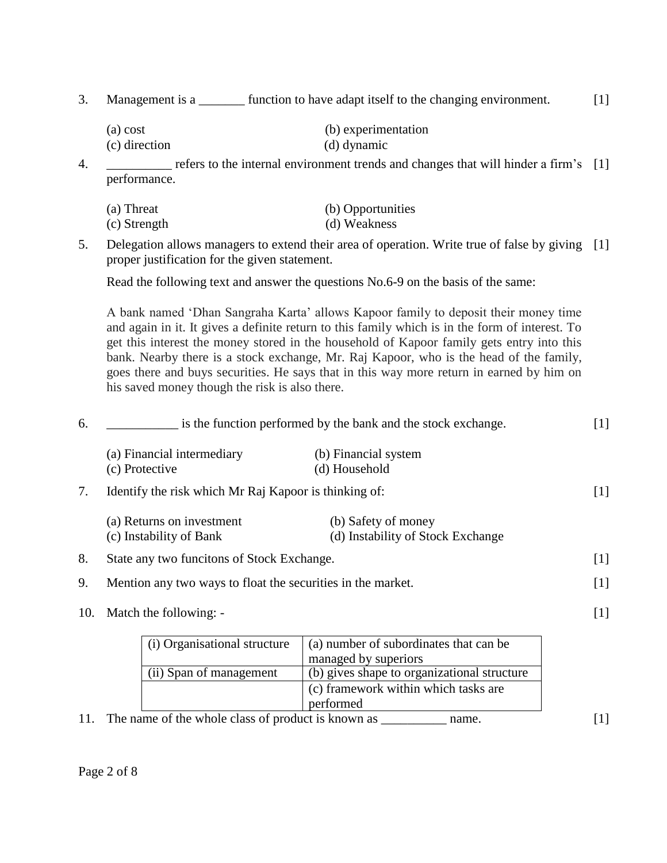3. Management is a \_\_\_\_\_\_\_ function to have adapt itself to the changing environment. [1]

| (a) cost      | (b) experimentation |
|---------------|---------------------|
| (c) direction | (d) dynamic         |

4. \_\_\_\_\_\_\_\_\_\_ refers to the internal environment trends and changes that will hinder a firm's [1] performance.

| (a) Threat   | (b) Opportunities |
|--------------|-------------------|
| (c) Strength | (d) Weakness      |

5. Delegation allows managers to extend their area of operation. Write true of false by giving [1] proper justification for the given statement.

Read the following text and answer the questions No.6-9 on the basis of the same:

A bank named 'Dhan Sangraha Karta' allows Kapoor family to deposit their money time and again in it. It gives a definite return to this family which is in the form of interest. To get this interest the money stored in the household of Kapoor family gets entry into this bank. Nearby there is a stock exchange, Mr. Raj Kapoor, who is the head of the family, goes there and buys securities. He says that in this way more return in earned by him on his saved money though the risk is also there.

| 6.  | is the function performed by the bank and the stock exchange. |                                                                | $[1]$ |
|-----|---------------------------------------------------------------|----------------------------------------------------------------|-------|
|     | (a) Financial intermediary<br>(c) Protective                  | (b) Financial system<br>(d) Household                          |       |
| 7.  | Identify the risk which Mr Raj Kapoor is thinking of:         |                                                                | $[1]$ |
|     | (a) Returns on investment<br>(c) Instability of Bank          | (b) Safety of money<br>(d) Instability of Stock Exchange       |       |
| 8.  | State any two funcitons of Stock Exchange.                    |                                                                | $[1]$ |
| 9.  | Mention any two ways to float the securities in the market.   |                                                                | $[1]$ |
| 10. | Match the following: -                                        |                                                                | $[1]$ |
|     | (i) Organisational structure                                  | (a) number of subordinates that can be<br>managed by superiors |       |
|     | (ii) Span of management                                       | (b) gives shape to organizational structure                    |       |
|     |                                                               | (c) framework within which tasks are                           |       |

performed

11. The name of the whole class of product is known as \_\_\_\_\_\_\_\_\_\_\_\_\_ name. [1]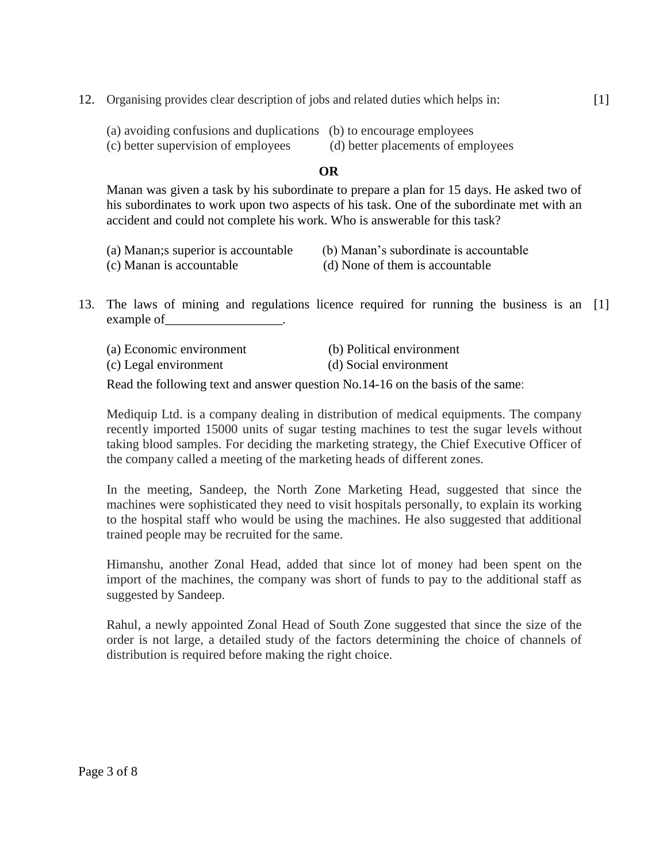- (a) avoiding confusions and duplications (b) to encourage employees
- (c) better supervision of employees (d) better placements of employees
- -

# **OR**

Manan was given a task by his subordinate to prepare a plan for 15 days. He asked two of his subordinates to work upon two aspects of his task. One of the subordinate met with an accident and could not complete his work. Who is answerable for this task?

| (a) Manan; s superior is accountable | (b) Manan's subordinate is accountable |
|--------------------------------------|----------------------------------------|
| (c) Manan is accountable             | (d) None of them is accountable        |

13. The laws of mining and regulations licence required for running the business is an [1] example of the control of the control of the control of the control of the control of the control of the control of the control of the control of the control of the control of the control of the control of the control of t

| (a) Economic environment | (b) Political environment |
|--------------------------|---------------------------|
| (c) Legal environment    | (d) Social environment    |

Read the following text and answer question No.14-16 on the basis of the same:

Mediquip Ltd. is a company dealing in distribution of medical equipments. The company recently imported 15000 units of sugar testing machines to test the sugar levels without taking blood samples. For deciding the marketing strategy, the Chief Executive Officer of the company called a meeting of the marketing heads of different zones.

In the meeting, Sandeep, the North Zone Marketing Head, suggested that since the machines were sophisticated they need to visit hospitals personally, to explain its working to the hospital staff who would be using the machines. He also suggested that additional trained people may be recruited for the same.

Himanshu, another Zonal Head, added that since lot of money had been spent on the import of the machines, the company was short of funds to pay to the additional staff as suggested by Sandeep.

Rahul, a newly appointed Zonal Head of South Zone suggested that since the size of the order is not large, a detailed study of the factors determining the choice of channels of distribution is required before making the right choice.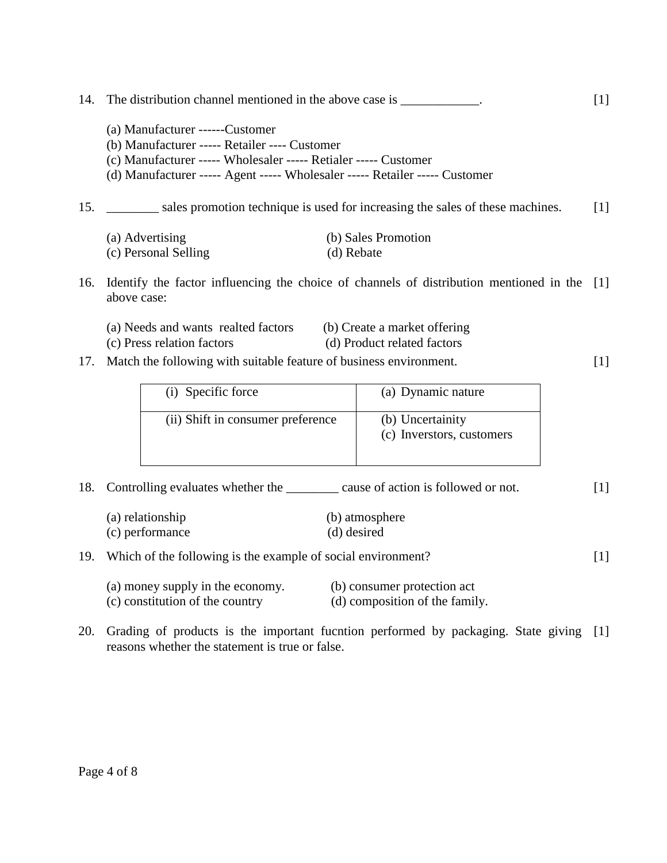|     | (a) Manufacturer ------Customer                                               |                                                                                             |                   |
|-----|-------------------------------------------------------------------------------|---------------------------------------------------------------------------------------------|-------------------|
|     | (b) Manufacturer ----- Retailer ---- Customer                                 |                                                                                             |                   |
|     | (c) Manufacturer ----- Wholesaler ----- Retialer ----- Customer               |                                                                                             |                   |
|     | (d) Manufacturer ----- Agent ----- Wholesaler ----- Retailer ----- Customer   |                                                                                             |                   |
| 15. | sales promotion technique is used for increasing the sales of these machines. |                                                                                             | $\lceil 1 \rceil$ |
|     | (a) Advertising                                                               | (b) Sales Promotion                                                                         |                   |
|     | (c) Personal Selling                                                          | (d) Rebate                                                                                  |                   |
|     |                                                                               |                                                                                             |                   |
| 16. |                                                                               | Identify the factor influencing the choice of channels of distribution mentioned in the [1] |                   |
|     | above case:                                                                   |                                                                                             |                   |
|     |                                                                               |                                                                                             |                   |
|     | (a) Needs and wants realted factors                                           | (b) Create a market offering                                                                |                   |
|     | (c) Press relation factors                                                    | (d) Product related factors                                                                 |                   |
| 17. | Match the following with suitable feature of business environment.            |                                                                                             | [1]               |
|     |                                                                               |                                                                                             |                   |
|     | Specific force<br>(1)                                                         | (a) Dynamic nature                                                                          |                   |
|     |                                                                               |                                                                                             |                   |

[1]

[1]

14. The distribution channel mentioned in the above case is \_\_\_\_\_\_\_\_\_\_\_\_.

| (i) Specific force                | (a) Dynamic nature                            |
|-----------------------------------|-----------------------------------------------|
| (ii) Shift in consumer preference | (b) Uncertainity<br>(c) Inverstors, customers |

18. Controlling evaluates whether the \_\_\_\_\_\_\_\_ cause of action is followed or not. [1]

| (a) relationship | (b) atmosphere |
|------------------|----------------|
| (c) performance  | (d) desired    |

## 19. Which of the following is the example of social environment?

| (a) money supply in the economy. | (b) consumer protection act    |
|----------------------------------|--------------------------------|
| (c) constitution of the country  | (d) composition of the family. |

20. Grading of products is the important fucntion performed by packaging. State giving [1]reasons whether the statement is true or false.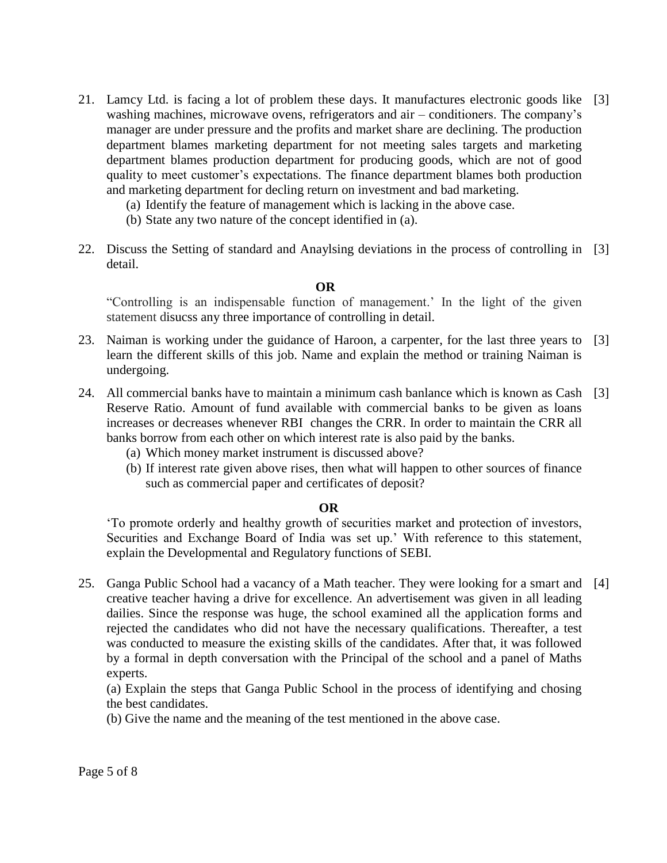- 21. Lamcy Ltd. is facing a lot of problem these days. It manufactures electronic goods like [3] washing machines, microwave ovens, refrigerators and air – conditioners. The company's manager are under pressure and the profits and market share are declining. The production department blames marketing department for not meeting sales targets and marketing department blames production department for producing goods, which are not of good quality to meet customer's expectations. The finance department blames both production and marketing department for decling return on investment and bad marketing.
	- (a) Identify the feature of management which is lacking in the above case.
	- (b) State any two nature of the concept identified in (a).
- 22. Discuss the Setting of standard and Anaylsing deviations in the process of controlling in [3] detail.

#### **OR**

"Controlling is an indispensable function of management.' In the light of the given statement disucss any three importance of controlling in detail.

- 23. Naiman is working under the guidance of Haroon, a carpenter, for the last three years to [3] learn the different skills of this job. Name and explain the method or training Naiman is undergoing.
- 24. All commercial banks have to maintain a minimum cash banlance which is known as Cash [3] Reserve Ratio. Amount of fund available with commercial banks to be given as loans increases or decreases whenever RBI changes the CRR. In order to maintain the CRR all banks borrow from each other on which interest rate is also paid by the banks.
	- (a) Which money market instrument is discussed above?
	- (b) If interest rate given above rises, then what will happen to other sources of finance such as commercial paper and certificates of deposit?

## **OR**

'To promote orderly and healthy growth of securities market and protection of investors, Securities and Exchange Board of India was set up.' With reference to this statement, explain the Developmental and Regulatory functions of SEBI.

25. Ganga Public School had a vacancy of a Math teacher. They were looking for a smart and [4]creative teacher having a drive for excellence. An advertisement was given in all leading dailies. Since the response was huge, the school examined all the application forms and rejected the candidates who did not have the necessary qualifications. Thereafter, a test was conducted to measure the existing skills of the candidates. After that, it was followed by a formal in depth conversation with the Principal of the school and a panel of Maths experts.

(a) Explain the steps that Ganga Public School in the process of identifying and chosing the best candidates.

(b) Give the name and the meaning of the test mentioned in the above case.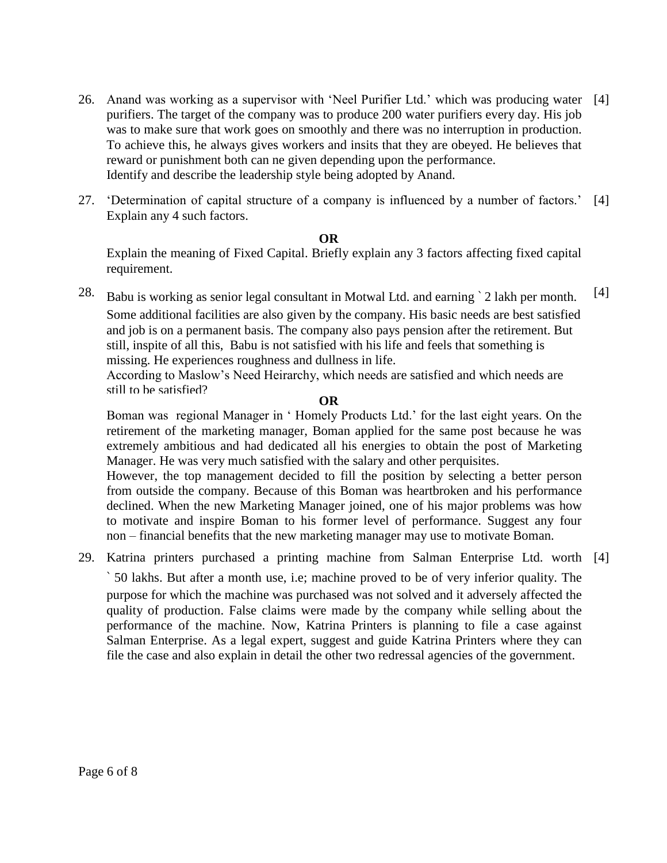- 26. Anand was working as a supervisor with 'Neel Purifier Ltd.' which was producing water [4] purifiers. The target of the company was to produce 200 water purifiers every day. His job was to make sure that work goes on smoothly and there was no interruption in production. To achieve this, he always gives workers and insits that they are obeyed. He believes that reward or punishment both can ne given depending upon the performance. Identify and describe the leadership style being adopted by Anand.
- 27. 'Determination of capital structure of a company is influenced by a number of factors.' Explain any 4 such factors. [4]

#### **OR**

Explain the meaning of Fixed Capital. Briefly explain any 3 factors affecting fixed capital requirement.

28. Babu is working as senior legal consultant in Motwal Ltd. and earning ` 2 lakh per month. Some additional facilities are also given by the company. His basic needs are best satisfied and job is on a permanent basis. The company also pays pension after the retirement. But still, inspite of all this, Babu is not satisfied with his life and feels that something is missing. He experiences roughness and dullness in life. According to Maslow's Need Heirarchy, which needs are satisfied and which needs are still to be satisfied? [4]

#### **OR**

Boman was regional Manager in ' Homely Products Ltd.' for the last eight years. On the retirement of the marketing manager, Boman applied for the same post because he was extremely ambitious and had dedicated all his energies to obtain the post of Marketing Manager. He was very much satisfied with the salary and other perquisites.

However, the top management decided to fill the position by selecting a better person from outside the company. Because of this Boman was heartbroken and his performance declined. When the new Marketing Manager joined, one of his major problems was how to motivate and inspire Boman to his former level of performance. Suggest any four non – financial benefits that the new marketing manager may use to motivate Boman.

29. Katrina printers purchased a printing machine from Salman Enterprise Ltd. worth [4]

` 50 lakhs. But after a month use, i.e; machine proved to be of very inferior quality. The purpose for which the machine was purchased was not solved and it adversely affected the quality of production. False claims were made by the company while selling about the performance of the machine. Now, Katrina Printers is planning to file a case against Salman Enterprise. As a legal expert, suggest and guide Katrina Printers where they can file the case and also explain in detail the other two redressal agencies of the government.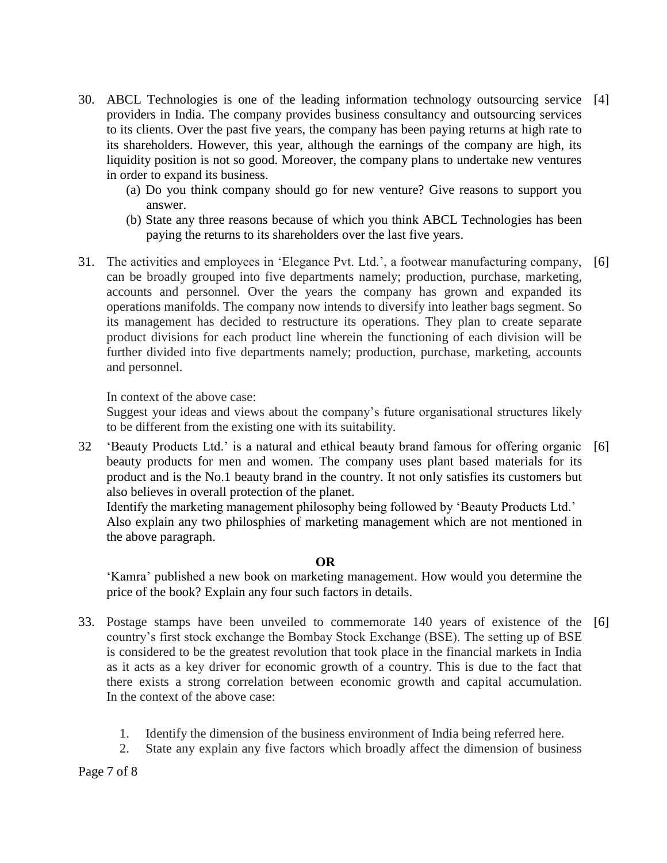- 30. ABCL Technologies is one of the leading information technology outsourcing service [4] providers in India. The company provides business consultancy and outsourcing services to its clients. Over the past five years, the company has been paying returns at high rate to its shareholders. However, this year, although the earnings of the company are high, its liquidity position is not so good. Moreover, the company plans to undertake new ventures in order to expand its business.
	- (a) Do you think company should go for new venture? Give reasons to support you answer.
	- (b) State any three reasons because of which you think ABCL Technologies has been paying the returns to its shareholders over the last five years.
- 31. The activities and employees in 'Elegance Pvt. Ltd.', a footwear manufacturing company, can be broadly grouped into five departments namely; production, purchase, marketing, accounts and personnel. Over the years the company has grown and expanded its operations manifolds. The company now intends to diversify into leather bags segment. So its management has decided to restructure its operations. They plan to create separate product divisions for each product line wherein the functioning of each division will be further divided into five departments namely; production, purchase, marketing, accounts and personnel. [6]

In context of the above case:

Suggest your ideas and views about the company's future organisational structures likely to be different from the existing one with its suitability.

32 'Beauty Products Ltd.' is a natural and ethical beauty brand famous for offering organic [6] beauty products for men and women. The company uses plant based materials for its product and is the No.1 beauty brand in the country. It not only satisfies its customers but also believes in overall protection of the planet.

Identify the marketing management philosophy being followed by 'Beauty Products Ltd.' Also explain any two philosphies of marketing management which are not mentioned in the above paragraph.

## **OR**

'Kamra' published a new book on marketing management. How would you determine the price of the book? Explain any four such factors in details.

- 33. Postage stamps have been unveiled to commemorate 140 years of existence of the [6]country's first stock exchange the Bombay Stock Exchange (BSE). The setting up of BSE is considered to be the greatest revolution that took place in the financial markets in India as it acts as a key driver for economic growth of a country. This is due to the fact that there exists a strong correlation between economic growth and capital accumulation. In the context of the above case:
	- 1. Identify the dimension of the business environment of India being referred here.
	- 2. State any explain any five factors which broadly affect the dimension of business

Page 7 of 8